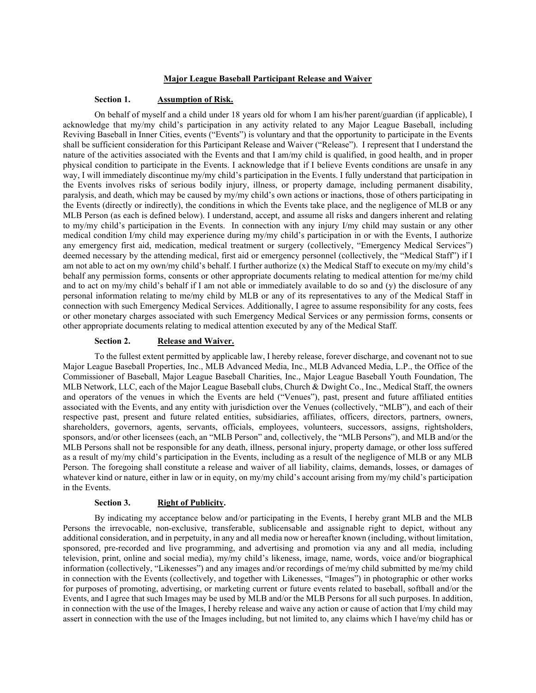#### **Major League Baseball Participant Release and Waiver**

### **Section 1. Assumption of Risk.**

On behalf of myself and a child under 18 years old for whom I am his/her parent/guardian (if applicable), I acknowledge that my/my child's participation in any activity related to any Major League Baseball, including Reviving Baseball in Inner Cities, events ("Events") is voluntary and that the opportunity to participate in the Events shall be sufficient consideration for this Participant Release and Waiver ("Release"). I represent that I understand the nature of the activities associated with the Events and that I am/my child is qualified, in good health, and in proper physical condition to participate in the Events. I acknowledge that if I believe Events conditions are unsafe in any way, I will immediately discontinue my/my child's participation in the Events. I fully understand that participation in the Events involves risks of serious bodily injury, illness, or property damage, including permanent disability, paralysis, and death, which may be caused by my/my child's own actions or inactions, those of others participating in the Events (directly or indirectly), the conditions in which the Events take place, and the negligence of MLB or any MLB Person (as each is defined below). I understand, accept, and assume all risks and dangers inherent and relating to my/my child's participation in the Events. In connection with any injury I/my child may sustain or any other medical condition I/my child may experience during my/my child's participation in or with the Events, I authorize any emergency first aid, medication, medical treatment or surgery (collectively, "Emergency Medical Services") deemed necessary by the attending medical, first aid or emergency personnel (collectively, the "Medical Staff") if I am not able to act on my own/my child's behalf. I further authorize  $(x)$  the Medical Staff to execute on my/my child's behalf any permission forms, consents or other appropriate documents relating to medical attention for me/my child and to act on my/my child's behalf if I am not able or immediately available to do so and (y) the disclosure of any personal information relating to me/my child by MLB or any of its representatives to any of the Medical Staff in connection with such Emergency Medical Services. Additionally, I agree to assume responsibility for any costs, fees or other monetary charges associated with such Emergency Medical Services or any permission forms, consents or other appropriate documents relating to medical attention executed by any of the Medical Staff.

#### **Section 2. Release and Waiver.**

To the fullest extent permitted by applicable law, I hereby release, forever discharge, and covenant not to sue Major League Baseball Properties, Inc., MLB Advanced Media, Inc., MLB Advanced Media, L.P., the Office of the Commissioner of Baseball, Major League Baseball Charities, Inc., Major League Baseball Youth Foundation, The MLB Network, LLC, each of the Major League Baseball clubs, Church & Dwight Co., Inc., Medical Staff, the owners and operators of the venues in which the Events are held ("Venues"), past, present and future affiliated entities associated with the Events, and any entity with jurisdiction over the Venues (collectively, "MLB"), and each of their respective past, present and future related entities, subsidiaries, affiliates, officers, directors, partners, owners, shareholders, governors, agents, servants, officials, employees, volunteers, successors, assigns, rightsholders, sponsors, and/or other licensees (each, an "MLB Person" and, collectively, the "MLB Persons"), and MLB and/or the MLB Persons shall not be responsible for any death, illness, personal injury, property damage, or other loss suffered as a result of my/my child's participation in the Events, including as a result of the negligence of MLB or any MLB Person. The foregoing shall constitute a release and waiver of all liability, claims, demands, losses, or damages of whatever kind or nature, either in law or in equity, on my/my child's account arising from my/my child's participation in the Events.

### **Section 3. Right of Publicity.**

By indicating my acceptance below and/or participating in the Events, I hereby grant MLB and the MLB Persons the irrevocable, non-exclusive, transferable, sublicensable and assignable right to depict, without any additional consideration, and in perpetuity, in any and all media now or hereafter known (including, without limitation, sponsored, pre-recorded and live programming, and advertising and promotion via any and all media, including television, print, online and social media), my/my child's likeness, image, name, words, voice and/or biographical information (collectively, "Likenesses") and any images and/or recordings of me/my child submitted by me/my child in connection with the Events (collectively, and together with Likenesses, "Images") in photographic or other works for purposes of promoting, advertising, or marketing current or future events related to baseball, softball and/or the Events, and I agree that such Images may be used by MLB and/or the MLB Persons for all such purposes. In addition, in connection with the use of the Images, I hereby release and waive any action or cause of action that I/my child may assert in connection with the use of the Images including, but not limited to, any claims which I have/my child has or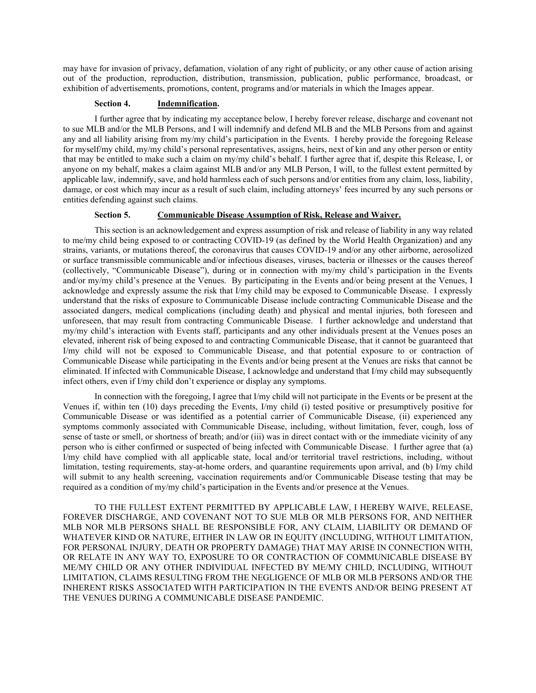may have for invasion of privacy, defamation, violation of any right of publicity, or any other cause of action arising out of the production, reproduction, distribution, transmission, publication, public performance, broadcast, or exhibition of advertisements, promotions, content, programs and/or materials in which the Images appear.

### **Section 4. Indemnification.**

I further agree that by indicating my acceptance below, I hereby forever release, discharge and covenant not to sue MLB and/or the MLB Persons, and I will indemnify and defend MLB and the MLB Persons from and against any and all liability arising from my/my child's participation in the Events. I hereby provide the foregoing Release for myself/my child, my/my child's personal representatives, assigns, heirs, next of kin and any other person or entity that may be entitled to make such a claim on my/my child's behalf. I further agree that if, despite this Release, I, or anyone on my behalf, makes a claim against MLB and/or any MLB Person, I will, to the fullest extent permitted by applicable law, indemnify, save, and hold harmless each of such persons and/or entities from any claim, loss, liability, damage, or cost which may incur as a result of such claim, including attorneys' fees incurred by any such persons or entities defending against such claims.

### **Section 5. Communicable Disease Assumption of Risk, Release and Waiver.**

This section is an acknowledgement and express assumption of risk and release of liability in any way related to me/my child being exposed to or contracting COVID-19 (as defined by the World Health Organization) and any strains, variants, or mutations thereof, the coronavirus that causes COVID-19 and/or any other airborne, aerosolized or surface transmissible communicable and/or infectious diseases, viruses, bacteria or illnesses or the causes thereof (collectively, "Communicable Disease"), during or in connection with my/my child's participation in the Events and/or my/my child's presence at the Venues. By participating in the Events and/or being present at the Venues, I acknowledge and expressly assume the risk that I/my child may be exposed to Communicable Disease. I expressly understand that the risks of exposure to Communicable Disease include contracting Communicable Disease and the associated dangers, medical complications (including death) and physical and mental injuries, both foreseen and unforeseen, that may result from contracting Communicable Disease. I further acknowledge and understand that my/my child's interaction with Events staff, participants and any other individuals present at the Venues poses an elevated, inherent risk of being exposed to and contracting Communicable Disease, that it cannot be guaranteed that I/my child will not be exposed to Communicable Disease, and that potential exposure to or contraction of Communicable Disease while participating in the Events and/or being present at the Venues are risks that cannot be eliminated. If infected with Communicable Disease, I acknowledge and understand that I/my child may subsequently infect others, even if I/my child don't experience or display any symptoms.

In connection with the foregoing, I agree that I/my child will not participate in the Events or be present at the Venues if, within ten (10) days preceding the Events, I/my child (i) tested positive or presumptively positive for Communicable Disease or was identified as a potential carrier of Communicable Disease, (ii) experienced any symptoms commonly associated with Communicable Disease, including, without limitation, fever, cough, loss of sense of taste or smell, or shortness of breath; and/or (iii) was in direct contact with or the immediate vicinity of any person who is either confirmed or suspected of being infected with Communicable Disease. I further agree that (a) I/my child have complied with all applicable state, local and/or territorial travel restrictions, including, without limitation, testing requirements, stay-at-home orders, and quarantine requirements upon arrival, and (b) I/my child will submit to any health screening, vaccination requirements and/or Communicable Disease testing that may be required as a condition of my/my child's participation in the Events and/or presence at the Venues.

TO THE FULLEST EXTENT PERMITTED BY APPLICABLE LAW, I HEREBY WAIVE, RELEASE, FOREVER DISCHARGE, AND COVENANT NOT TO SUE MLB OR MLB PERSONS FOR, AND NEITHER MLB NOR MLB PERSONS SHALL BE RESPONSIBLE FOR, ANY CLAIM, LIABILITY OR DEMAND OF WHATEVER KIND OR NATURE, EITHER IN LAW OR IN EQUITY (INCLUDING, WITHOUT LIMITATION, FOR PERSONAL INJURY, DEATH OR PROPERTY DAMAGE) THAT MAY ARISE IN CONNECTION WITH, OR RELATE IN ANY WAY TO, EXPOSURE TO OR CONTRACTION OF COMMUNICABLE DISEASE BY ME/MY CHILD OR ANY OTHER INDIVIDUAL INFECTED BY ME/MY CHILD, INCLUDING, WITHOUT LIMITATION, CLAIMS RESULTING FROM THE NEGLIGENCE OF MLB OR MLB PERSONS AND/OR THE INHERENT RISKS ASSOCIATED WITH PARTICIPATION IN THE EVENTS AND/OR BEING PRESENT AT THE VENUES DURING A COMMUNICABLE DISEASE PANDEMIC.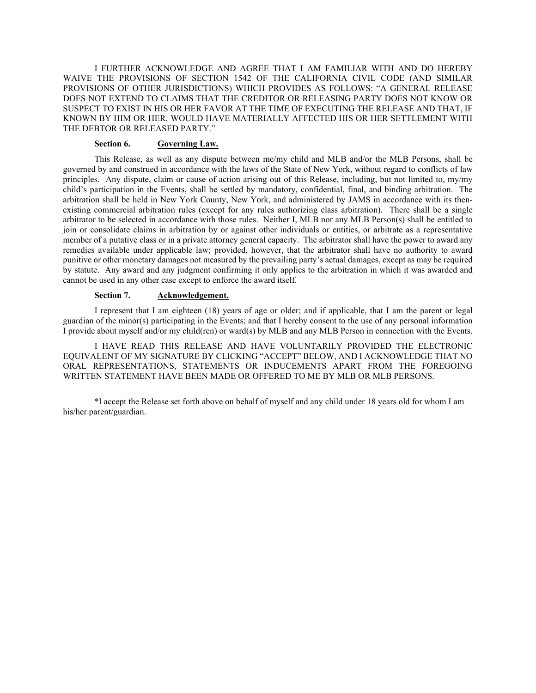I FURTHER ACKNOWLEDGE AND AGREE THAT I AM FAMILIAR WITH AND DO HEREBY WAIVE THE PROVISIONS OF SECTION 1542 OF THE CALIFORNIA CIVIL CODE (AND SIMILAR PROVISIONS OF OTHER JURISDICTIONS) WHICH PROVIDES AS FOLLOWS: "A GENERAL RELEASE DOES NOT EXTEND TO CLAIMS THAT THE CREDITOR OR RELEASING PARTY DOES NOT KNOW OR SUSPECT TO EXIST IN HIS OR HER FAVOR AT THE TIME OF EXECUTING THE RELEASE AND THAT, IF KNOWN BY HIM OR HER, WOULD HAVE MATERIALLY AFFECTED HIS OR HER SETTLEMENT WITH THE DEBTOR OR RELEASED PARTY."

## **Section 6. Governing Law.**

This Release, as well as any dispute between me/my child and MLB and/or the MLB Persons, shall be governed by and construed in accordance with the laws of the State of New York, without regard to conflicts of law principles. Any dispute, claim or cause of action arising out of this Release, including, but not limited to, my/my child's participation in the Events, shall be settled by mandatory, confidential, final, and binding arbitration. The arbitration shall be held in New York County, New York, and administered by JAMS in accordance with its thenexisting commercial arbitration rules (except for any rules authorizing class arbitration). There shall be a single arbitrator to be selected in accordance with those rules. Neither I, MLB nor any MLB Person(s) shall be entitled to join or consolidate claims in arbitration by or against other individuals or entities, or arbitrate as a representative member of a putative class or in a private attorney general capacity. The arbitrator shall have the power to award any remedies available under applicable law; provided, however, that the arbitrator shall have no authority to award punitive or other monetary damages not measured by the prevailing party's actual damages, except as may be required by statute. Any award and any judgment confirming it only applies to the arbitration in which it was awarded and cannot be used in any other case except to enforce the award itself.

#### **Section 7. Acknowledgement.**

I represent that I am eighteen (18) years of age or older; and if applicable, that I am the parent or legal guardian of the minor(s) participating in the Events; and that I hereby consent to the use of any personal information I provide about myself and/or my child(ren) or ward(s) by MLB and any MLB Person in connection with the Events.

I HAVE READ THIS RELEASE AND HAVE VOLUNTARILY PROVIDED THE ELECTRONIC EQUIVALENT OF MY SIGNATURE BY CLICKING "ACCEPT" BELOW, AND I ACKNOWLEDGE THAT NO ORAL REPRESENTATIONS, STATEMENTS OR INDUCEMENTS APART FROM THE FOREGOING WRITTEN STATEMENT HAVE BEEN MADE OR OFFERED TO ME BY MLB OR MLB PERSONS.

\*I accept the Release set forth above on behalf of myself and any child under 18 years old for whom I am his/her parent/guardian.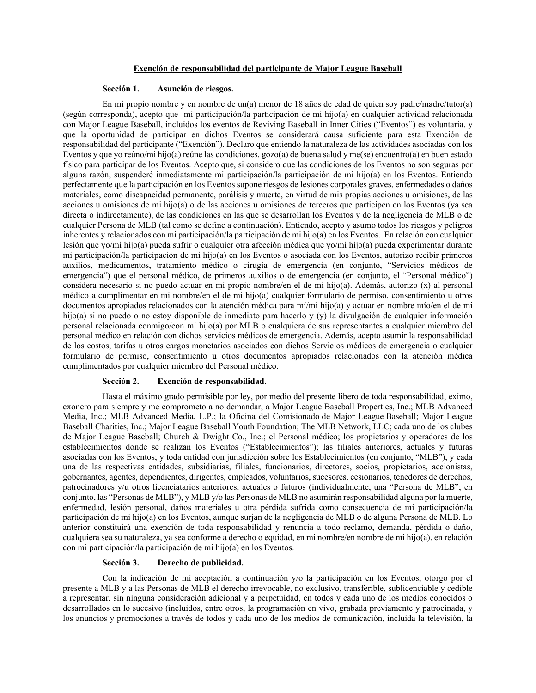## **Exención de responsabilidad del participante de Major League Baseball**

#### **Sección 1. Asunción de riesgos.**

En mi propio nombre y en nombre de un(a) menor de 18 años de edad de quien soy padre/madre/tutor(a) (según corresponda), acepto que mi participación/la participación de mi hijo(a) en cualquier actividad relacionada con Major League Baseball, incluidos los eventos de Reviving Baseball in Inner Cities ("Eventos") es voluntaria, y que la oportunidad de participar en dichos Eventos se considerará causa suficiente para esta Exención de responsabilidad del participante ("Exención"). Declaro que entiendo la naturaleza de las actividades asociadas con los Eventos y que yo reúno/mi hijo(a) reúne las condiciones, gozo(a) de buena salud y me(se) encuentro(a) en buen estado físico para participar de los Eventos. Acepto que, si considero que las condiciones de los Eventos no son seguras por alguna razón, suspenderé inmediatamente mi participación/la participación de mi hijo(a) en los Eventos. Entiendo perfectamente que la participación en los Eventos supone riesgos de lesiones corporales graves, enfermedades o daños materiales, como discapacidad permanente, parálisis y muerte, en virtud de mis propias acciones u omisiones, de las acciones u omisiones de mi hijo(a) o de las acciones u omisiones de terceros que participen en los Eventos (ya sea directa o indirectamente), de las condiciones en las que se desarrollan los Eventos y de la negligencia de MLB o de cualquier Persona de MLB (tal como se define a continuación). Entiendo, acepto y asumo todos los riesgos y peligros inherentes y relacionados con mi participación/la participación de mi hijo(a) en los Eventos. En relación con cualquier lesión que yo/mi hijo(a) pueda sufrir o cualquier otra afección médica que yo/mi hijo(a) pueda experimentar durante mi participación/la participación de mi hijo(a) en los Eventos o asociada con los Eventos, autorizo recibir primeros auxilios, medicamentos, tratamiento médico o cirugía de emergencia (en conjunto, "Servicios médicos de emergencia") que el personal médico, de primeros auxilios o de emergencia (en conjunto, el "Personal médico") considera necesario si no puedo actuar en mi propio nombre/en el de mi hijo(a). Además, autorizo (x) al personal médico a cumplimentar en mi nombre/en el de mi hijo(a) cualquier formulario de permiso, consentimiento u otros documentos apropiados relacionados con la atención médica para mí/mi hijo(a) y actuar en nombre mío/en el de mi hijo(a) si no puedo o no estoy disponible de inmediato para hacerlo y (y) la divulgación de cualquier información personal relacionada conmigo/con mi hijo(a) por MLB o cualquiera de sus representantes a cualquier miembro del personal médico en relación con dichos servicios médicos de emergencia. Además, acepto asumir la responsabilidad de los costos, tarifas u otros cargos monetarios asociados con dichos Servicios médicos de emergencia o cualquier formulario de permiso, consentimiento u otros documentos apropiados relacionados con la atención médica cumplimentados por cualquier miembro del Personal médico.

## **Sección 2. Exención de responsabilidad.**

Hasta el máximo grado permisible por ley, por medio del presente libero [de toda responsabilidad, eximo,](https://www.proz.com/kudoz/english-to-spanish/law-patents-trademarks-copyright/2768839-waive-release-and-forever-discharge.html#6190514)  [exonero](https://www.proz.com/kudoz/english-to-spanish/law-patents-trademarks-copyright/2768839-waive-release-and-forever-discharge.html#6190514) para siempre y me comprometo a no demandar, a Major League Baseball Properties, Inc.; MLB Advanced Media, Inc.; MLB Advanced Media, L.P.; la Oficina del Comisionado de Major League Baseball; Major League Baseball Charities, Inc.; Major League Baseball Youth Foundation; The MLB Network, LLC; cada uno de los clubes de Major League Baseball; Church & Dwight Co., Inc.; el Personal médico; los propietarios y operadores de los establecimientos donde se realizan los Eventos ("Establecimientos"); las filiales anteriores, actuales y futuras asociadas con los Eventos; y toda entidad con jurisdicción sobre los Establecimientos (en conjunto, "MLB"), y cada una de las respectivas entidades, subsidiarias, filiales, funcionarios, directores, socios, propietarios, accionistas, gobernantes, agentes, dependientes, dirigentes, empleados, voluntarios, sucesores, cesionarios, tenedores de derechos, patrocinadores y/u otros licenciatarios anteriores, actuales o futuros (individualmente, una "Persona de MLB"; en conjunto, las "Personas de MLB"), y MLB y/o las Personas de MLB no asumirán responsabilidad alguna por la muerte, enfermedad, lesión personal, daños materiales u otra pérdida sufrida como consecuencia de mi participación/la participación de mi hijo(a) en los Eventos, aunque surjan de la negligencia de MLB o de alguna Persona de MLB. Lo anterior constituirá una exención de toda responsabilidad y renuncia a todo reclamo, demanda, pérdida o daño, cualquiera sea su naturaleza, ya sea [conforme a derecho o equidad,](https://www.proz.com/kudoz/english-to-spanish/certificates-diplomas-licenses-cvs/3413303-either-in-law-or-in-equity.html) en mi nombre/en nombre de mi hijo(a), en relación con mi participación/la participación de mi hijo(a) en los Eventos.

# **Sección 3. Derecho de publicidad.**

Con la indicación de mi aceptación a continuación y/o la participación en los Eventos, otorgo por el presente a MLB y a las Personas de MLB el derecho irrevocable, no exclusivo, transferible, sublicenciable y cedible a representar, sin ninguna consideración adicional y a perpetuidad, en todos y cada uno de los medios conocidos o desarrollados en lo sucesivo (incluidos, entre otros, la programación en vivo, grabada previamente y patrocinada, y los anuncios y promociones a través de todos y cada uno de los medios de comunicación, incluida la televisión, la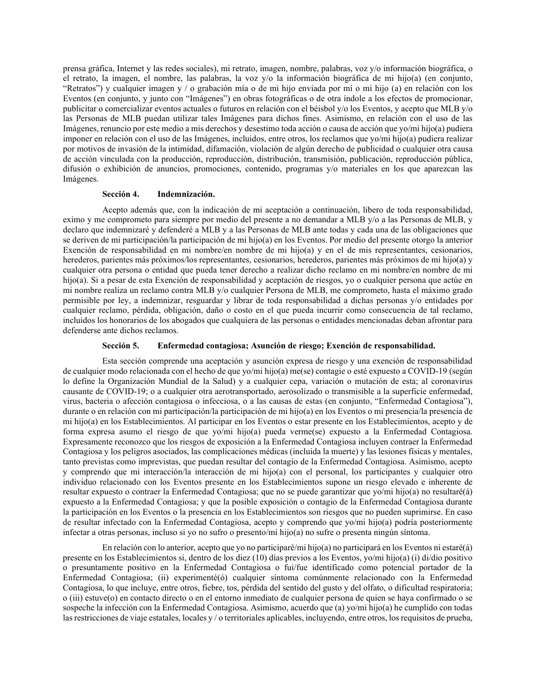prensa gráfica, Internet y las redes sociales), mi retrato, imagen, nombre, palabras, voz y/o información biográfica, o el retrato, la imagen, el nombre, las palabras, la voz y/o la información biográfica de mi hijo(a) (en conjunto, "Retratos") y cualquier imagen y / o grabación mía o de mi hijo enviada por mí o mi hijo (a) en relación con los Eventos (en conjunto, y junto con "Imágenes") en obras fotográficas o de otra índole a los efectos de promocionar, publicitar o comercializar eventos actuales o futuros en relación con el béisbol y/o los Eventos, y acepto que MLB y/o las Personas de MLB puedan utilizar tales Imágenes para dichos fines. Asimismo, en relación con el uso de las Imágenes, renuncio por este medio a mis derechos y desestimo toda acción o causa de acción que yo/mi hijo(a) pudiera imponer en relación con el uso de las Imágenes, incluidos, entre otros, los reclamos que yo/mi hijo(a) pudiera realizar por motivos de invasión de la intimidad, difamación, violación de algún derecho de publicidad o cualquier otra causa de acción vinculada con la producción, reproducción, distribución, transmisión, publicación, reproducción pública, difusión o exhibición de anuncios, promociones, contenido, programas y/o materiales en los que aparezcan las Imágenes.

#### **Sección 4. Indemnización.**

Acepto además que, con la indicación de mi aceptación a continuación, [libero de toda responsabilidad,](https://www.proz.com/kudoz/english-to-spanish/law-patents-trademarks-copyright/2768839-waive-release-and-forever-discharge.html#6190514)  [eximo y me comprometo para siempre por medio del presente a](https://www.proz.com/kudoz/english-to-spanish/law-patents-trademarks-copyright/2768839-waive-release-and-forever-discharge.html#6190514) no demandar a MLB y/o a las Personas de MLB, y declaro que indemnizaré y defenderé a MLB y a las Personas de MLB ante todas y cada una de las obligaciones que se deriven de mi participación/la participación de mi hijo(a) en los Eventos. Por medio del presente otorgo la anterior Exención de responsabilidad en mi nombre/en nombre de mi hijo(a) y en el de mis representantes, cesionarios, herederos, parientes más próximos/los representantes, cesionarios, herederos, parientes más próximos de mi hijo(a) y cualquier otra persona o entidad que pueda tener derecho a realizar dicho reclamo en mi nombre/en nombre de mi hijo(a). Si a pesar de esta Exención de responsabilidad y aceptación de riesgos, yo o cualquier persona que actúe en mi nombre realiza un reclamo contra MLB y/o cualquier Persona de MLB, me comprometo, hasta el máximo grado permisible por ley, a indemnizar, resguardar [y librar de toda responsabilidad](https://www.proz.com/kudoz/english-to-spanish/law-contracts/754145-save-and-hold-harmless.html) a dichas personas y/o entidades por cualquier reclamo, pérdida, obligación, daño o costo en el que pueda incurrir como consecuencia de tal reclamo, incluidos los honorarios de los abogados que cualquiera de las personas o entidades mencionadas deban afrontar para defenderse ante dichos reclamos.

## **Sección 5. Enfermedad contagiosa; Asunción de riesgo; Exención de responsabilidad.**

Esta sección comprende una aceptación y asunción expresa de riesgo y una exención de responsabilidad de cualquier modo relacionada con el hecho de que yo/mi hijo(a) me(se) contagie o esté expuesto a COVID-19 (según lo define la Organización Mundial de la Salud) y a cualquier cepa, variación o mutación de esta; al coronavirus causante de COVID-19; o a cualquier otra aerotransportado, aerosolizado o transmisible a la superficie enfermedad, virus, bacteria o afección contagiosa o infecciosa, o a las causas de estas (en conjunto, "Enfermedad Contagiosa"), durante o en relación con mi participación/la participación de mi hijo(a) en los Eventos o mi presencia/la presencia de mi hijo(a) en los Establecimientos. Al participar en los Eventos o estar presente en los Establecimientos, acepto y de forma expresa asumo el riesgo de que yo/mi hijo(a) pueda verme(se) expuesto a la Enfermedad Contagiosa. Expresamente reconozco que los riesgos de exposición a la Enfermedad Contagiosa incluyen contraer la Enfermedad Contagiosa y los peligros asociados, las complicaciones médicas (incluida la muerte) y las lesiones físicas y mentales, tanto previstas como imprevistas, que puedan resultar del contagio de la Enfermedad Contagiosa. Asimismo, acepto y comprendo que mi interacción/la interacción de mi hijo(a) con el personal, los participantes y cualquier otro individuo relacionado con los Eventos presente en los Establecimientos supone un riesgo elevado e inherente de resultar expuesto o contraer la Enfermedad Contagiosa; que no se puede garantizar que yo/mi hijo(a) no resultaré(á) expuesto a la Enfermedad Contagiosa; y que la posible exposición o contagio de la Enfermedad Contagiosa durante la participación en los Eventos o la presencia en los Establecimientos son riesgos que no pueden suprimirse. En caso de resultar infectado con la Enfermedad Contagiosa, acepto y comprendo que yo/mi hijo(a) podría posteriormente infectar a otras personas, incluso si yo no sufro o presento/mi hijo(a) no sufre o presenta ningún síntoma.

En relación con lo anterior, acepto que yo no participaré/mi hijo(a) no participará en los Eventos ni estaré(á) presente en los Establecimientos si, dentro de los diez (10) días previos a los Eventos, yo/mi hijo(a) (i) di/dio positivo o presuntamente positivo en la Enfermedad Contagiosa o fui/fue identificado como potencial portador de la Enfermedad Contagiosa; (ii) experimenté(ó) cualquier síntoma comúnmente relacionado con la Enfermedad Contagiosa, lo que incluye, entre otros, fiebre, tos, pérdida del sentido del gusto y del olfato, o dificultad respiratoria; o (iii) estuve(o) en contacto directo o en el entorno inmediato de cualquier persona de quien se haya confirmado o se sospeche la infección con la Enfermedad Contagiosa. Asimismo, acuerdo que (a) yo/mi hijo(a) he cumplido con todas las restricciones de viaje estatales, locales y / o territoriales aplicables, incluyendo, entre otros, los requisitos de prueba,